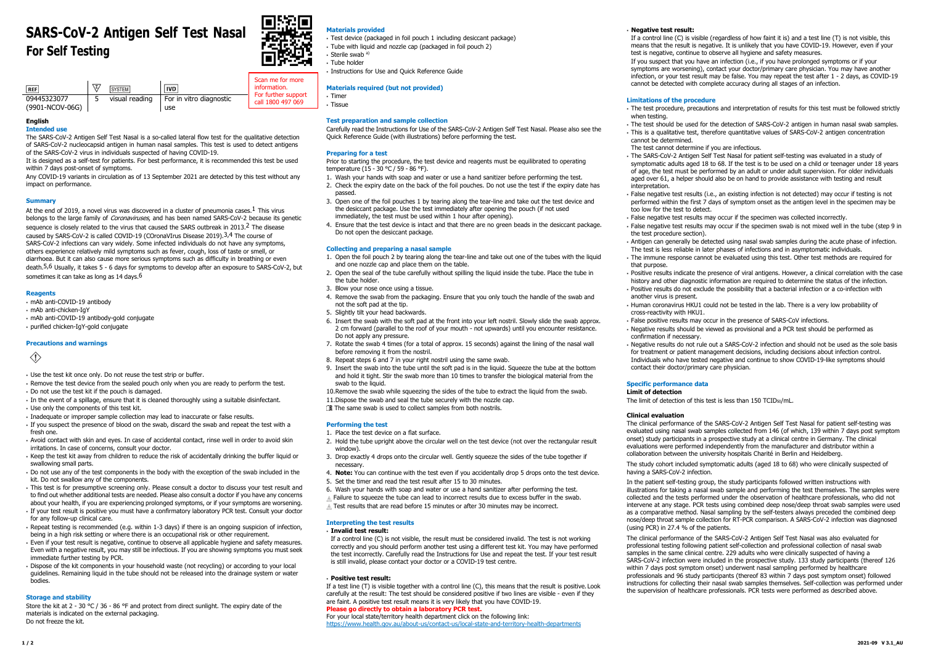# **SARS-CoV-2 Antigen Self Test Nasal For Self Testing**



### **English**

### **Intended use**

The SARS-CoV-2 Antigen Self Test Nasal is a so-called lateral flow test for the qualitative detection of SARS‑CoV‑2 nucleocapsid antigen in human nasal samples. This test is used to detect antigens of the SARS-CoV-2 virus in individuals suspected of having COVID-19.

It is designed as a self-test for patients. For best performance, it is recommended this test be used within 7 days post-onset of symptoms.

Any COVID-19 variants in circulation as of 13 September 2021 are detected by this test without any impact on performance.

#### **Summary**

At the end of 2019, a novel virus was discovered in a cluster of pneumonia cases.  $1$  This virus belongs to the large family of *Coronaviruses*, and has been named SARS-CoV-2 because its genetic sequence is closely related to the virus that caused the SARS outbreak in 2013.<sup>2</sup> The disease caused by SARS-CoV-2 is called COVID-19 (COronaVIrus Disease 2019).<sup>3,4</sup> The course of SARS-CoV-2 infections can vary widely. Some infected individuals do not have any symptoms, others experience relatively mild symptoms such as fever, cough, loss of taste or smell, or diarrhoea. But it can also cause more serious symptoms such as difficulty in breathing or even death.<sup>5,6</sup> Usually, it takes 5 - 6 days for symptoms to develop after an exposure to SARS-CoV-2, but sometimes it can take as long as 14 days.<sup>6</sup>

#### **Reagents**

- mAb anti‑COVID‑19 antibody
- mAb anti‑chicken‑IgY
- mAb anti‑COVID‑19 antibody‑gold conjugate
- purified chicken‑IgY‑gold conjugate

### **Precautions and warnings**

# $\langle \hat{L} \rangle$

Store the kit at 2 - 30 °C / 36 - 86 °F and protect from direct sunlight. The expiry date of the materials is indicated on the external packaging. Do not freeze the kit.

Prior to starting the procedure, the test device and reagents must be equilibrated to operating temperature (15 - 30 °C / 59 - 86 °F).

- Use the test kit once only. Do not reuse the test strip or buffer.
- Remove the test device from the sealed pouch only when you are ready to perform the test.
- Do not use the test kit if the pouch is damaged.
- In the event of a spillage, ensure that it is cleaned thoroughly using a suitable disinfectant.
- Use only the components of this test kit.
- Inadequate or improper sample collection may lead to inaccurate or false results.
- If you suspect the presence of blood on the swab, discard the swab and repeat the test with a fresh one.
- Avoid contact with skin and eyes. In case of accidental contact, rinse well in order to avoid skin irritations. In case of concerns, consult your doctor.
- Keep the test kit away from children to reduce the risk of accidentally drinking the buffer liquid or swallowing small parts.
- Do not use any of the test components in the body with the exception of the swab included in the kit. Do not swallow any of the components.
- This test is for presumptive screening only. Please consult a doctor to discuss your test result and to find out whether additional tests are needed. Please also consult a doctor if you have any concerns about your health, if you are experiencing prolonged symptoms, or if your symptoms are worsening.
- If your test result is positive you must have a confirmatory laboratory PCR test. Consult your doctor for any follow-up clinical care.
- Repeat testing is recommended (e.g. within 1-3 days) if there is an ongoing suspicion of infection, being in a high risk setting or where there is an occupational risk or other requirement.
- Even if your test result is negative, continue to observe all applicable hygiene and safety measures. Even with a negative result, you may still be infectious. If you are showing symptoms you must seek immediate further testing by PCR.
- Dispose of the kit components in your household waste (not recycling) or according to your local guidelines. Remaining liquid in the tube should not be released into the drainage system or water bodies.
- 1. Open the foil pouch 2 by tearing along the tear-line and take out one of the tubes with the liquid and one nozzle cap and place them on the table.
- 2. Open the seal of the tube carefully without spilling the liquid inside the tube. Place the tube in the tube holder.
- 3. Blow your nose once using a tissue.
- 4. Remove the swab from the packaging. Ensure that you only touch the handle of the swab and not the soft pad at the tip.
- 5. Slightly tilt your head backwards.
- 6. Insert the swab with the soft pad at the front into your left nostril. Slowly slide the swab approx. 2 cm forward (parallel to the roof of your mouth - not upwards) until you encounter resistance. Do not apply any pressure.
- 7. Rotate the swab 4 times (for a total of approx. 15 seconds) against the lining of the nasal wall before removing it from the nostril.
- 8. Repeat steps 6 and 7 in your right nostril using the same swab.
- 9. Insert the swab into the tube until the soft pad is in the liquid. Squeeze the tube at the bottom and hold it tight. Stir the swab more than 10 times to transfer the biological material from the swab to the liquid.
- 10.Remove the swab while squeezing the sides of the tube to extract the liquid from the swab.
- 11.Dispose the swab and seal the tube securely with the nozzle cap.
- The same swab is used to collect samples from both nostrils.

- 1. Place the test device on a flat surface.
- 2. Hold the tube upright above the circular well on the test device (not over the rectangular result window).
- 3. Drop exactly 4 drops onto the circular well. Gently squeeze the sides of the tube together if necessary.
- 4. **Note:** You can continue with the test even if you accidentally drop 5 drops onto the test device.
- 5. Set the timer and read the test result after 15 to 30 minutes.
- 6. Wash your hands with soap and water or use a hand sanitizer after performing the test.
- $\wedge$  Failure to squeeze the tube can lead to incorrect results due to excess buffer in the swab.
- $\triangle$  Test results that are read before 15 minutes or after 30 minutes may be incorrect.

If a control line (C) is not visible, the result must be considered invalid. The test is not working correctly and you should perform another test using a different test kit. You may have performed the test incorrectly. Carefully read the Instructions for Use and repeat the test. If your test result is still invalid, please contact your doctor or a COVID-19 test centre.

#### **Storage and stability**

# **Materials provided**

- Test device (packaged in foil pouch 1 including desiccant package)
- Tube with liquid and nozzle cap (packaged in foil pouch 2)
- Sterile swab a)
- Tube holder
- Instructions for Use and Quick Reference Guide

#### **Materials required (but not provided)**

- Timer
- Tissue

#### **Test preparation and sample collection**

Carefully read the Instructions for Use of the SARS‑CoV‑2 Antigen Self Test Nasal. Please also see the Quick Reference Guide (with illustrations) before performing the test.

#### **Preparing for a test**

▪ The test should be used for the detection of SARS‑CoV‑2 antigen in human nasal swab samples. - This is a qualitative test, therefore quantitative values of SARS-CoV-2 antigen concentration

- The SARS-CoV-2 Antigen Self Test Nasal for patient self-testing was evaluated in a study of symptomatic adults aged 18 to 68. If the test is to be used on a child or teenager under 18 years of age, the test must be performed by an adult or under adult supervision. For older individuals aged over 61, a helper should also be on hand to provide assistance with testing and result

- 1. Wash your hands with soap and water or use a hand sanitizer before performing the test. 2. Check the expiry date on the back of the foil pouches. Do not use the test if the expiry date has passed.
- 3. Open one of the foil pouches 1 by tearing along the tear-line and take out the test device and the desiccant package. Use the test immediately after opening the pouch (if not used immediately, the test must be used within 1 hour after opening).
- 4. Ensure that the test device is intact and that there are no green beads in the desiccant package. Do not open the desiccant package.

- Antigen can generally be detected using nasal swab samples during the acute phase of infection. The test is less reliable in later phases of infections and in asymptomatic individuals.

#### **Collecting and preparing a nasal sample**

▪ Positive results indicate the presence of viral antigens. However, a clinical correlation with the case history and other diagnostic information are required to determine the status of the infection. - Positive results do not exclude the possibility that a bacterial infection or a co-infection with

The clinical performance of the SARS-CoV-2 Antigen Self Test Nasal for patient self-testing was evaluated using nasal swab samples collected from 146 (of which, 139 within 7 days post symptom onset) study participants in a prospective study at a clinical centre in Germany. The clinical evaluations were performed independently from the manufacturer and distributor within a collaboration between the university hospitals Charité in Berlin and Heidelberg.

The study cohort included symptomatic adults (aged 18 to 68) who were clinically suspected of having a SARS-CoV-2 infection.

In the patient self-testing group, the study participants followed written instructions with illustrations for taking a nasal swab sample and performing the test themselves. The samples were collected and the tests performed under the observation of healthcare professionals, who did not intervene at any stage. PCR tests using combined deep nose/deep throat swab samples were used as a comparative method. Nasal sampling by the self-testers always preceded the combined deep nose/deep throat sample collection for RT-PCR comparison. A SARS-CoV-2 infection was diagnosed (using PCR) in 27.4 % of the patients.

#### **Performing the test**

The clinical performance of the SARS-CoV-2 Antigen Self Test Nasal was also evaluated for professional testing following patient self‑collection and professional collection of nasal swab samples in the same clinical centre. 229 adults who were clinically suspected of having a SARS-CoV-2 infection were included in the prospective study. 133 study participants (thereof 126 within 7 days post symptom onset) underwent nasal sampling performed by healthcare professionals and 96 study participants (thereof 83 within 7 days post symptom onset) followed instructions for collecting their nasal swab samples themselves. Self-collection was performed under the supervision of healthcare professionals. PCR tests were performed as described above.

| <b>REF</b>                     | \Σ/ | <b>SYSTEM</b>  | <b>IVD</b>                     | Scan me for more<br>information.         |
|--------------------------------|-----|----------------|--------------------------------|------------------------------------------|
| 09445323077<br>(9901-NCOV-06G) |     | visual reading | For in vitro diagnostic<br>use | For further support<br>call 1800 497 069 |
|                                |     |                |                                |                                          |

#### **Interpreting the test results**

### ▪ **Invalid test result:**

#### ▪ **Positive test result:**

If a test line (T) is visible together with a control line (C), this means that the result is positive. Look carefully at the result: The test should be considered positive if two lines are visible - even if they are faint. A positive test result means it is very likely that you have COVID-19. **Please go directly to obtain a laboratory PCR test.**

## For your local state/territory health department click on the following link:

<https://www.health.gov.au/about-us/contact-us/local-state-and-territory-health-departments>

- **Negative test result:**
- 

If a control line (C) is visible (regardless of how faint it is) and a test line (T) is not visible, this means that the result is negative. It is unlikely that you have COVID-19. However, even if your test is negative, continue to observe all hygiene and safety measures.

If you suspect that you have an infection (i.e., if you have prolonged symptoms or if your symptoms are worsening), contact your doctor/primary care physician. You may have another infection, or your test result may be false. You may repeat the test after 1 - 2 days, as COVID-19 cannot be detected with complete accuracy during all stages of an infection.

#### **Limitations of the procedure**

▪ The test procedure, precautions and interpretation of results for this test must be followed strictly

The test cannot determine if you are infectious.

▪ False negative test results (i.e., an existing infection is not detected) may occur if testing is not performed within the first 7 days of symptom onset as the antigen level in the specimen may be

▪ False negative test results may occur if the specimen was collected incorrectly.

▪ False negative test results may occur if the specimen swab is not mixed well in the tube (step 9 in

- when testing.
- cannot be determined.
- internretation
- too low for the test to detect.
- 
- 
- the test procedure section).
- that purpose.
- 
- 
- another virus is present.
- cross‑reactivity with HKU1.
- 
- confirmation if necessary.
- contact their doctor/primary care physician.

▪ The immune response cannot be evaluated using this test. Other test methods are required for

▪ Human coronavirus HKU1 could not be tested in the lab. There is a very low probability of

▪ False positive results may occur in the presence of SARS‑CoV infections.

▪ Negative results should be viewed as provisional and a PCR test should be performed as

▪ Negative results do not rule out a SARS‑CoV‑2 infection and should not be used as the sole basis for treatment or patient management decisions, including decisions about infection control. Individuals who have tested negative and continue to show COVID‑19‑like symptoms should

The limit of detection of this test is less than 150 TCID<sub>50</sub>/mL.

# **Specific performance data**

**Limit of detection**

#### **Clinical evaluation**